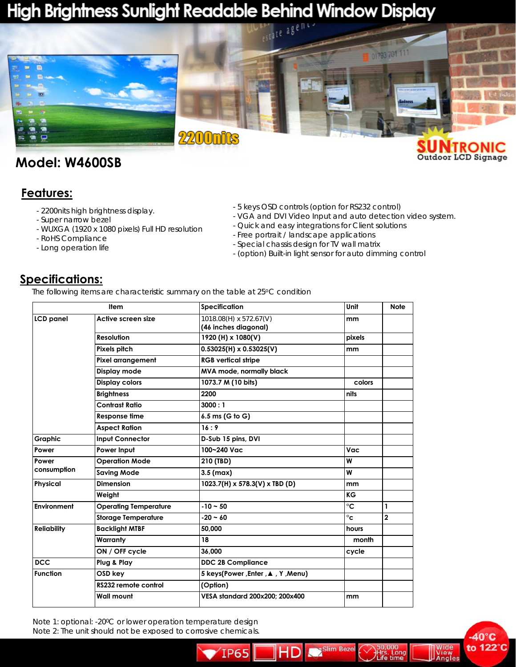# High Brightness Sunlight Readable Behind Window Display



## **Model: W4600SB**

#### **Features:**

- 2200nits high brightness display.
- Super narrow bezel
- WUXGA (1920 x 1080 pixels) Full HD resolution
- RoHS Compliance
- Long operation life
- 5 keys OSD controls (option for RS232 control)
- VGA and DVI Video Input and auto detection video system.

 $-40^\circ C$ 

**View**<br>Angles

to 122°C

- Quick and easy integrations for Client solutions
- Free portrait / landscape applications
- Special chassis design for TV wall matrix
- (option) Built-in light sensor for auto dimming control

Slim Beze

Long

irs. Lon<br>ife time

HD

### **Specifications:**

*The following items are characteristic summary on the table at 25oC condition* 

| <b>Item</b>          |                              | <b>Specification</b>                           | Unit         | <b>Note</b>    |
|----------------------|------------------------------|------------------------------------------------|--------------|----------------|
| <b>LCD</b> panel     | Active screen size           | 1018.08(H) x 572.67(V)<br>(46 inches diagonal) | mm           |                |
|                      | <b>Resolution</b>            | 1920 (H) x 1080(V)                             | pixels       |                |
|                      | Pixels pitch                 | $0.53025(H) \times 0.53025(V)$                 | mm           |                |
|                      | Pixel arrangement            | <b>RGB vertical stripe</b>                     |              |                |
|                      | Display mode                 | MVA mode, normally black                       |              |                |
|                      | <b>Display colors</b>        | 1073.7 M (10 bits)                             | colors       |                |
|                      | <b>Brightness</b>            | 2200                                           | nits         |                |
|                      | <b>Contrast Ratio</b>        | 3000:1                                         |              |                |
|                      | <b>Response time</b>         | 6.5 ms (G to G)                                |              |                |
|                      | <b>Aspect Ration</b>         | 16:9                                           |              |                |
| <b>Graphic</b>       | <b>Input Connector</b>       | D-Sub 15 pins, DVI                             |              |                |
| Power                | Power Input                  | 100~240 Vac                                    | Vac          |                |
| Power<br>consumption | <b>Operation Mode</b>        | 210 (TBD)                                      | W            |                |
|                      | <b>Saving Mode</b>           | $3.5$ (max)                                    | W            |                |
| Physical             | <b>Dimension</b>             | 1023.7(H) x 578.3(V) x TBD (D)                 | mm           |                |
|                      | Weight                       |                                                | KG           |                |
| Environment          | <b>Operating Temperature</b> | $-10 - 50$                                     | °C           | 1              |
|                      | <b>Storage Temperature</b>   | $-20 - 60$                                     | $^{\circ}$ c | $\overline{2}$ |
| <b>Reliability</b>   | <b>Backlight MTBF</b>        | 50,000                                         | hours        |                |
|                      | Warranty                     | 18                                             | month        |                |
|                      | ON / OFF cycle               | 36,000                                         | cycle        |                |
| <b>DCC</b>           | Plug & Play                  | <b>DDC 2B Compliance</b>                       |              |                |
| <b>Function</b>      | OSD key                      | 5 keys(Power, Enter, ▲, Y, Menu)               |              |                |
|                      | RS232 remote control         | (Option)                                       |              |                |
|                      | <b>Wall mount</b>            | VESA standard 200x200: 200x400                 | mm           |                |

TP65

*Note 1: optional: -200C or lower operation temperature design Note 2: The unit should not be exposed to corrosive chemicals.*